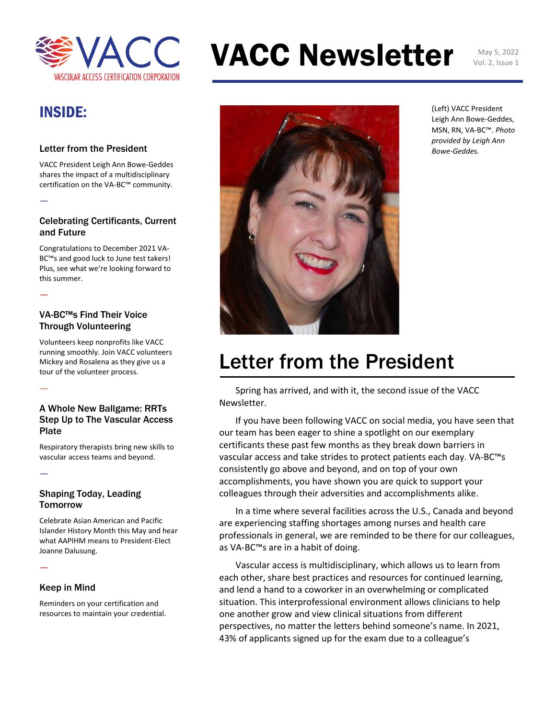

# VACC Newsletter May 5, 2022

Vol. 2, Issue 1

### INSIDE:

—

—

—

—

—

#### Letter from the President

VACC President Leigh Ann Bowe-Geddes shares the impact of a multidisciplinary certification on the VA-BC™ community.

#### Celebrating Certificants, Current and Future

Congratulations to December 2021 VA-BC™s and good luck to June test takers! Plus, see what we're looking forward to this summer.

#### VA-BC™s Find Their Voice Through Volunteering

Volunteers keep nonprofits like VACC running smoothly. Join VACC volunteers Mickey and Rosalena as they give us a tour of the volunteer process.

#### A Whole New Ballgame: RRTs Step Up to The Vascular Access Plate

Respiratory therapists bring new skills to vascular access teams and beyond.

#### Shaping Today, Leading **Tomorrow**

Celebrate Asian American and Pacific Islander History Month this May and hear what AAPIHM means to President-Elect Joanne Dalusung.

#### Keep in Mind

Reminders on your certification and resources to maintain your credential.



(Left) VACC President Leigh Ann Bowe-Geddes, MSN, RN, VA-BC™. *Photo provided by Leigh Ann Bowe-Geddes.*

### Letter from the President

Spring has arrived, and with it, the second issue of the VACC Newsletter.

If you have been following VACC on social media, you have seen that our team has been eager to shine a spotlight on our exemplary certificants these past few months as they break down barriers in vascular access and take strides to protect patients each day. VA-BC™s consistently go above and beyond, and on top of your own accomplishments, you have shown you are quick to support your colleagues through their adversities and accomplishments alike.

In a time where several facilities across the U.S., Canada and beyond are experiencing staffing shortages among nurses and health care professionals in general, we are reminded to be there for our colleagues, as VA-BC™s are in a habit of doing.

Vascular access is multidisciplinary, which allows us to learn from each other, share best practices and resources for continued learning, and lend a hand to a coworker in an overwhelming or complicated situation. This interprofessional environment allows clinicians to help one another grow and view clinical situations from different perspectives, no matter the letters behind someone's name. In 2021, 43% of applicants signed up for the exam due to a colleague's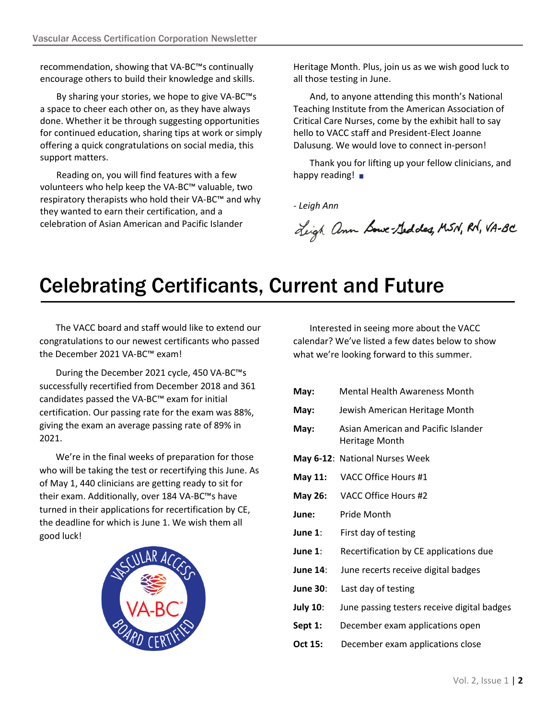recommendation, showing that VA-BC™s continually encourage others to build their knowledge and skills.

By sharing your stories, we hope to give VA-BC™s a space to cheer each other on, as they have always done. Whether it be through suggesting opportunities for continued education, sharing tips at work or simply offering a quick congratulations on social media, this support matters.

Reading on, you will find features with a few volunteers who help keep the VA-BC™ valuable, two respiratory therapists who hold their VA-BC™ and why they wanted to earn their certification, and a celebration of Asian American and Pacific Islander

Heritage Month. Plus, join us as we wish good luck to all those testing in June.

And, to anyone attending this month's National Teaching Institute from the American Association of Critical Care Nurses, come by the exhibit hall to say hello to VACC staff and President-Elect Joanne Dalusung. We would love to connect in-person!

Thank you for lifting up your fellow clinicians, and happy reading!  $\blacksquare$ 

*- Leigh Ann*

Ligh ann Lowe-Geddes, MSN, RN, VA-BC

### Celebrating Certificants, Current and Future

The VACC board and staff would like to extend our congratulations to our newest certificants who passed the December 2021 VA-BC™ exam!

During the December 2021 cycle, 450 VA-BC™s successfully recertified from December 2018 and 361 candidates passed the VA-BC™ exam for initial certification. Our passing rate for the exam was 88%, giving the exam an average passing rate of 89% in 2021.

We're in the final weeks of preparation for those who will be taking the test or recertifying this June. As of May 1, 440 clinicians are getting ready to sit for their exam. Additionally, over 184 VA-BC™s have turned in their applications for recertification by CE, the deadline for which is June 1. We wish them all good luck!



Interested in seeing more about the VACC calendar? We've listed a few dates below to show what we're looking forward to this summer.

| May:            | <b>Mental Health Awareness Month</b>                         |  |
|-----------------|--------------------------------------------------------------|--|
| May:            | Jewish American Heritage Month                               |  |
| May:            | Asian American and Pacific Islander<br><b>Heritage Month</b> |  |
|                 | May 6-12: National Nurses Week                               |  |
| May 11:         | VACC Office Hours #1                                         |  |
| May 26:         | VACC Office Hours #2                                         |  |
| June:           | Pride Month                                                  |  |
| June $1$ :      | First day of testing                                         |  |
| June 1:         | Recertification by CE applications due                       |  |
| <b>June 14:</b> | June recerts receive digital badges                          |  |
| <b>June 30:</b> | Last day of testing                                          |  |
| <b>July 10:</b> | June passing testers receive digital badges                  |  |
| Sept 1:         | December exam applications open                              |  |
| Oct 15:         | December exam applications close                             |  |
|                 |                                                              |  |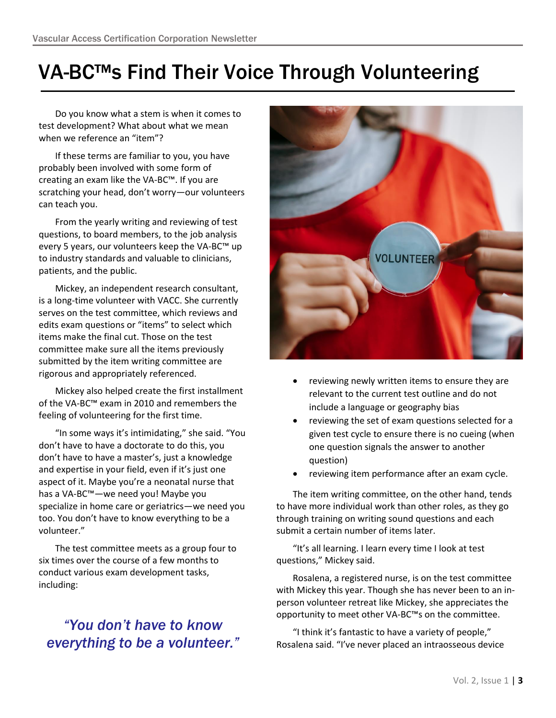### VA-BC™s Find Their Voice Through Volunteering

Do you know what a stem is when it comes to test development? What about what we mean when we reference an "item"?

If these terms are familiar to you, you have probably been involved with some form of creating an exam like the VA-BC™. If you are scratching your head, don't worry—our volunteers can teach you.

From the yearly writing and reviewing of test questions, to board members, to the job analysis every 5 years, our volunteers keep the VA-BC™ up to industry standards and valuable to clinicians, patients, and the public.

Mickey, an independent research consultant, is a long-time volunteer with VACC. She currently serves on the test committee, which reviews and edits exam questions or "items" to select which items make the final cut. Those on the test committee make sure all the items previously submitted by the item writing committee are rigorous and appropriately referenced.

Mickey also helped create the first installment of the VA-BC™ exam in 2010 and remembers the feeling of volunteering for the first time.

"In some ways it's intimidating," she said. "You don't have to have a doctorate to do this, you don't have to have a master's, just a knowledge and expertise in your field, even if it's just one aspect of it. Maybe you're a neonatal nurse that has a VA-BC™—we need you! Maybe you specialize in home care or geriatrics—we need you too. You don't have to know everything to be a volunteer."

The test committee meets as a group four to six times over the course of a few months to conduct various exam development tasks, including:

### *"You don't have to know everything to be a volunteer."*



- reviewing newly written items to ensure they are relevant to the current test outline and do not include a language or geography bias
- reviewing the set of exam questions selected for a given test cycle to ensure there is no cueing (when one question signals the answer to another question)
- reviewing item performance after an exam cycle.

The item writing committee, on the other hand, tends to have more individual work than other roles, as they go through training on writing sound questions and each submit a certain number of items later.

"It's all learning. I learn every time I look at test questions," Mickey said.

Rosalena, a registered nurse, is on the test committee with Mickey this year. Though she has never been to an inperson volunteer retreat like Mickey, she appreciates the opportunity to meet other VA-BC™s on the committee.

"I think it's fantastic to have a variety of people," Rosalena said. "I've never placed an intraosseous device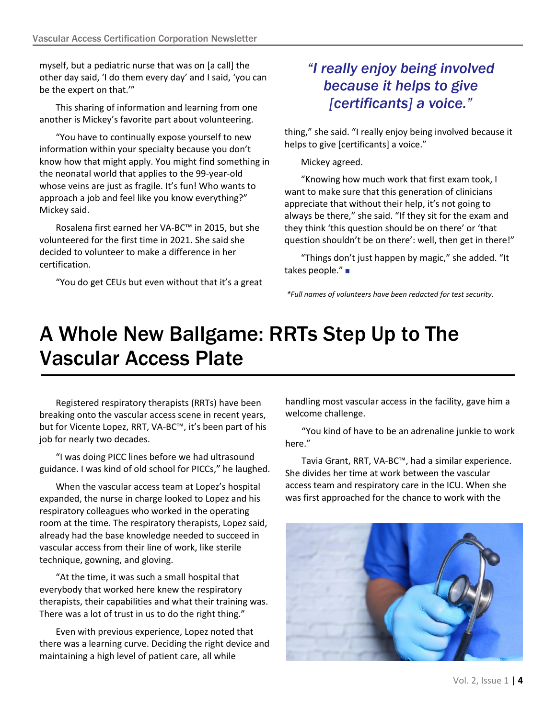myself, but a pediatric nurse that was on [a call] the other day said, 'I do them every day' and I said, 'you can be the expert on that.'"

This sharing of information and learning from one another is Mickey's favorite part about volunteering.

"You have to continually expose yourself to new information within your specialty because you don't know how that might apply. You might find something in the neonatal world that applies to the 99-year-old whose veins are just as fragile. It's fun! Who wants to approach a job and feel like you know everything?" Mickey said.

Rosalena first earned her VA-BC™ in 2015, but she volunteered for the first time in 2021. She said she decided to volunteer to make a difference in her certification.

"You do get CEUs but even without that it's a great

### *"I really enjoy being involved because it helps to give [certificants] a voice."*

thing," she said. "I really enjoy being involved because it helps to give [certificants] a voice."

Mickey agreed.

"Knowing how much work that first exam took, I want to make sure that this generation of clinicians appreciate that without their help, it's not going to always be there," she said. "If they sit for the exam and they think 'this question should be on there' or 'that question shouldn't be on there': well, then get in there!"

"Things don't just happen by magic," she added. "It takes people."

*\*Full names of volunteers have been redacted for test security.* 

# A Whole New Ballgame: RRTs Step Up to The Vascular Access Plate

Registered respiratory therapists (RRTs) have been breaking onto the vascular access scene in recent years, but for Vicente Lopez, RRT, VA-BC™, it's been part of his job for nearly two decades.

"I was doing PICC lines before we had ultrasound guidance. I was kind of old school for PICCs," he laughed.

When the vascular access team at Lopez's hospital expanded, the nurse in charge looked to Lopez and his respiratory colleagues who worked in the operating room at the time. The respiratory therapists, Lopez said, already had the base knowledge needed to succeed in vascular access from their line of work, like sterile technique, gowning, and gloving.

"At the time, it was such a small hospital that everybody that worked here knew the respiratory therapists, their capabilities and what their training was. There was a lot of trust in us to do the right thing."

Even with previous experience, Lopez noted that there was a learning curve. Deciding the right device and maintaining a high level of patient care, all while

handling most vascular access in the facility, gave him a welcome challenge.

"You kind of have to be an adrenaline junkie to work here."

Tavia Grant, RRT, VA-BC™, had a similar experience. She divides her time at work between the vascular access team and respiratory care in the ICU. When she was first approached for the chance to work with the

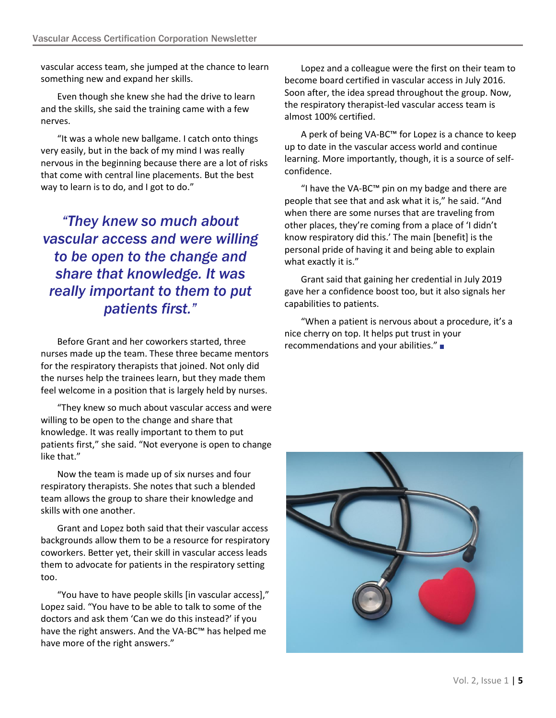vascular access team, she jumped at the chance to learn something new and expand her skills.

Even though she knew she had the drive to learn and the skills, she said the training came with a few nerves.

"It was a whole new ballgame. I catch onto things very easily, but in the back of my mind I was really nervous in the beginning because there are a lot of risks that come with central line placements. But the best way to learn is to do, and I got to do."

*"They knew so much about vascular access and were willing to be open to the change and share that knowledge. It was really important to them to put patients first."*

Before Grant and her coworkers started, three  $\frac{1}{\pi}$  recommendations and your abilities." nurses made up the team. These three became mentors for the respiratory therapists that joined. Not only did the nurses help the trainees learn, but they made them feel welcome in a position that is largely held by nurses.

"They knew so much about vascular access and were willing to be open to the change and share that knowledge. It was really important to them to put patients first," she said. "Not everyone is open to change like that."

Now the team is made up of six nurses and four respiratory therapists. She notes that such a blended team allows the group to share their knowledge and skills with one another.

Grant and Lopez both said that their vascular access backgrounds allow them to be a resource for respiratory coworkers. Better yet, their skill in vascular access leads them to advocate for patients in the respiratory setting too.

"You have to have people skills [in vascular access]," Lopez said. "You have to be able to talk to some of the doctors and ask them 'Can we do this instead?' if you have the right answers. And the VA-BC™ has helped me have more of the right answers."

Lopez and a colleague were the first on their team to become board certified in vascular access in July 2016. Soon after, the idea spread throughout the group. Now, the respiratory therapist-led vascular access team is almost 100% certified.

A perk of being VA-BC™ for Lopez is a chance to keep up to date in the vascular access world and continue learning. More importantly, though, it is a source of selfconfidence.

"I have the VA-BC™ pin on my badge and there are people that see that and ask what it is," he said. "And when there are some nurses that are traveling from other places, they're coming from a place of 'I didn't know respiratory did this.' The main [benefit] is the personal pride of having it and being able to explain what exactly it is."

Grant said that gaining her credential in July 2019 gave her a confidence boost too, but it also signals her capabilities to patients.

"When a patient is nervous about a procedure, it's a nice cherry on top. It helps put trust in your

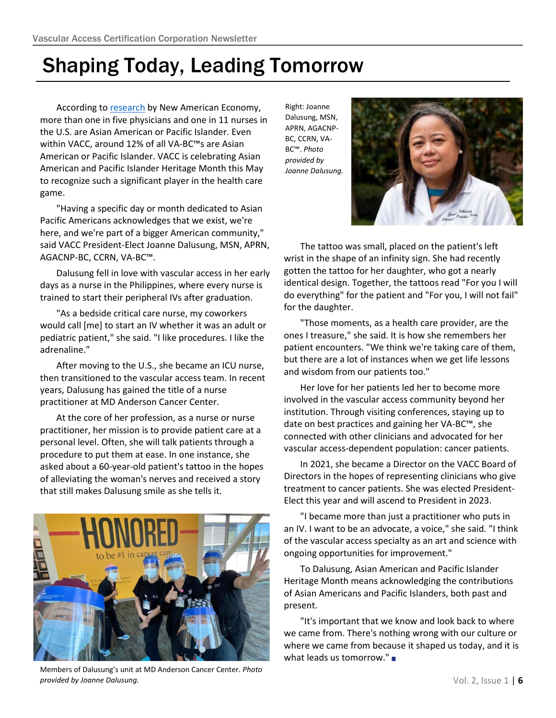## Shaping Today, Leading Tomorrow

According to [research](https://research.newamericaneconomy.org/report/aapi-americans-on-the-frontlines/) by New American Economy, more than one in five physicians and one in 11 nurses in the U.S. are Asian American or Pacific Islander. Even within VACC, around 12% of all VA-BC™s are Asian American or Pacific Islander. VACC is celebrating Asian American and Pacific Islander Heritage Month this May to recognize such a significant player in the health care game.

"Having a specific day or month dedicated to Asian Pacific Americans acknowledges that we exist, we're here, and we're part of a bigger American community," said VACC President-Elect Joanne Dalusung, MSN, APRN, AGACNP-BC, CCRN, VA-BC™.

Dalusung fell in love with vascular access in her early days as a nurse in the Philippines, where every nurse is trained to start their peripheral IVs after graduation.

"As a bedside critical care nurse, my coworkers would call [me] to start an IV whether it was an adult or pediatric patient," she said. "I like procedures. I like the adrenaline."

After moving to the U.S., she became an ICU nurse, then transitioned to the vascular access team. In recent years, Dalusung has gained the title of a nurse practitioner at MD Anderson Cancer Center.

At the core of her profession, as a nurse or nurse practitioner, her mission is to provide patient care at a personal level. Often, she will talk patients through a procedure to put them at ease. In one instance, she asked about a 60-year-old patient's tattoo in the hopes of alleviating the woman's nerves and received a story that still makes Dalusung smile as she tells it.



Members of Dalusung's unit at MD Anderson Cancer Center. *Photo provided by Joanne Dalusung.*

Right: Joanne Dalusung, MSN, APRN, AGACNP-BC, CCRN, VA-BC™. *Photo provided by Joanne Dalusung.*



The tattoo was small, placed on the patient's left wrist in the shape of an infinity sign. She had recently gotten the tattoo for her daughter, who got a nearly identical design. Together, the tattoos read "For you I will do everything" for the patient and "For you, I will not fail" for the daughter.

"Those moments, as a health care provider, are the ones I treasure," she said. It is how she remembers her patient encounters. "We think we're taking care of them, but there are a lot of instances when we get life lessons and wisdom from our patients too."

Her love for her patients led her to become more involved in the vascular access community beyond her institution. Through visiting conferences, staying up to date on best practices and gaining her VA-BC™, she connected with other clinicians and advocated for her vascular access-dependent population: cancer patients.

In 2021, she became a Director on the VACC Board of Directors in the hopes of representing clinicians who give treatment to cancer patients. She was elected President-Elect this year and will ascend to President in 2023.

"I became more than just a practitioner who puts in an IV. I want to be an advocate, a voice," she said. "I think of the vascular access specialty as an art and science with ongoing opportunities for improvement."

To Dalusung, Asian American and Pacific Islander Heritage Month means acknowledging the contributions of Asian Americans and Pacific Islanders, both past and present.

"It's important that we know and look back to where we came from. There's nothing wrong with our culture or where we came from because it shaped us today, and it is what leads us tomorrow."